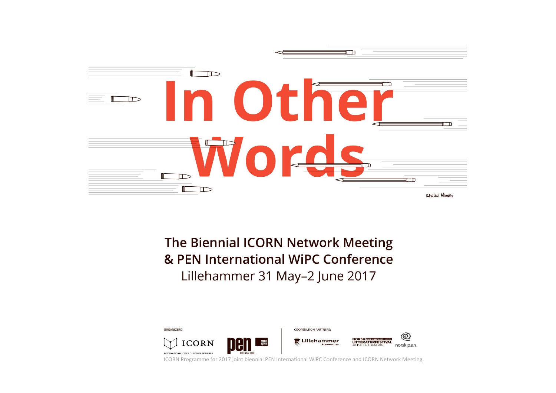

The Biennial ICORN Network Meeting & PEN International WiPC Conference Lillehammer 31 May-2 June 2017



ICORN Programme for 2017 joint biennial PEN International WiPC Conference and ICORN Network Meeting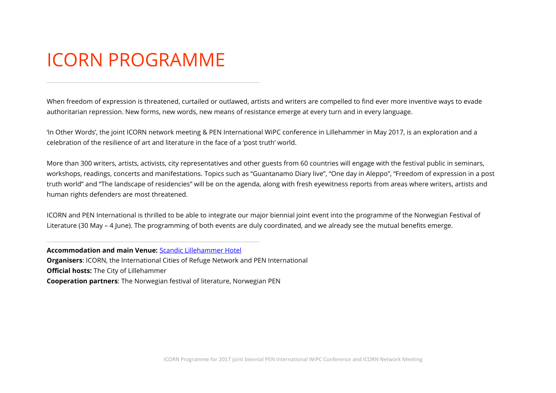# ICORN PROGRAMME

When freedom of expression is threatened, curtailed or outlawed, artists and writers are compelled to find ever more inventive ways to evade authoritarian repression. New forms, new words, new means of resistance emerge at every turn and in every language.

'In Other Words', the joint ICORN network meeting & PEN International WiPC conference in Lillehammer in May 2017, is an exploration and a celebration of the resilience of art and literature in the face of a 'post truth' world.

More than 300 writers, artists, activists, city representatives and other guests from 60 countries will engage with the festival public in seminars, workshops, readings, concerts and manifestations. Topics such as "Guantanamo Diary live", "One day in Aleppo", "Freedom of expression in a post truth world" and "The landscape of residencies" will be on the agenda, along with fresh eyewitness reports from areas where writers, artists and human rights defenders are most threatened.

ICORN and PEN International is thrilled to be able to integrate our major biennial joint event into the programme of the Norwegian Festival of Literature (30 May – 4 June). The programming of both events are duly coordinated, and we already see the mutual benefits emerge.

**Accommodation and main Venue:** [Scandic Lillehammer Hotel](http://www.lillehammerhotel.no/en/) **Organisers**: ICORN, the International Cities of Refuge Network and PEN International **Official hosts:** The City of Lillehammer **Cooperation partners**: The Norwegian festival of literature, Norwegian PEN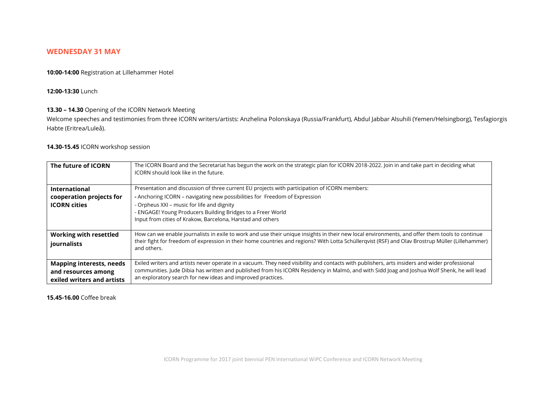## **WEDNESDAY 31 MAY**

**10:00-14:00** Registration at Lillehammer Hotel

#### **12:00-13:30** Lunch

#### **13.30 – 14.30** Opening of the ICORN Network Meeting

Welcome speeches and testimonies from three ICORN writers/artists: Anzhelina Polonskaya (Russia/Frankfurt), Abdul Jabbar Alsuhili (Yemen/Helsingborg), Tesfagiorgis Habte (Eritrea/Luleå).

## **14.30-15.45** ICORN workshop session

| The future of ICORN             | The ICORN Board and the Secretariat has begun the work on the strategic plan for ICORN 2018-2022. Join in and take part in deciding what<br>ICORN should look like in the future. |
|---------------------------------|-----------------------------------------------------------------------------------------------------------------------------------------------------------------------------------|
| <b>International</b>            | Presentation and discussion of three current EU projects with participation of ICORN members:                                                                                     |
| cooperation projects for        | - Anchoring ICORN – navigating new possibilities for Freedom of Expression                                                                                                        |
| <b>ICORN</b> cities             | - Orpheus XXI - music for life and dignity                                                                                                                                        |
|                                 | - ENGAGE! Young Producers Building Bridges to a Freer World                                                                                                                       |
|                                 | Input from cities of Krakow, Barcelona, Harstad and others                                                                                                                        |
| <b>Working with resettled</b>   | How can we enable journalists in exile to work and use their unique insights in their new local environments, and offer them tools to continue                                    |
| journalists                     | their fight for freedom of expression in their home countries and regions? With Lotta Schüllergyist (RSF) and Olay Brostrup Müller (Lillehammer)<br>and others.                   |
| <b>Mapping interests, needs</b> | Exiled writers and artists never operate in a vacuum. They need visibility and contacts with publishers, arts insiders and wider professional                                     |
| and resources among             | communities. Jude Dibia has written and published from his ICORN Residency in Malmö, and with Sidd Joag and Joshua Wolf Shenk, he will lead                                       |
| exiled writers and artists      | an exploratory search for new ideas and improved practices.                                                                                                                       |

**15.45-16.00** Coffee break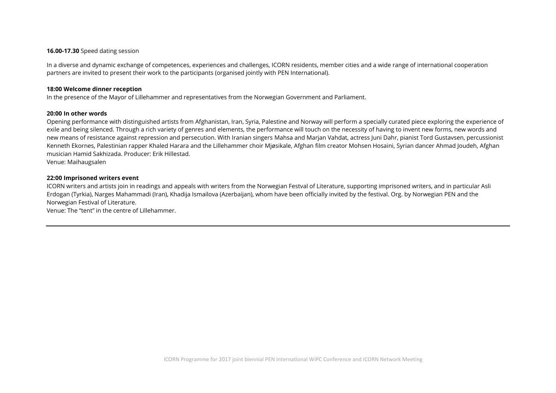#### **16.00-17.30** Speed dating session

In a diverse and dynamic exchange of competences, experiences and challenges, ICORN residents, member cities and a wide range of international cooperation partners are invited to present their work to the participants (organised jointly with PEN International).

#### **18:00 Welcome dinner reception**

In the presence of the Mayor of Lillehammer and representatives from the Norwegian Government and Parliament.

#### **20:00 In other words**

Opening performance with distinguished artists from Afghanistan, Iran, Syria, Palestine and Norway will perform a specially curated piece exploring the experience of exile and being silenced. Through a rich variety of genres and elements, the performance will touch on the necessity of having to invent new forms, new words and new means of resistance against repression and persecution. With Iranian singers Mahsa and Marjan Vahdat, actress Juni Dahr, pianist Tord Gustavsen, percussionist Kenneth Ekornes, Palestinian rapper Khaled Harara and the Lillehammer choir Mjøsikale, Afghan film creator Mohsen Hosaini, Syrian dancer Ahmad Joudeh, Afghan musician Hamid Sakhizada. Producer: Erik Hillestad.

Venue: Maihaugsalen

#### **22:00 Imprisoned writers event**

ICORN writers and artists join in readings and appeals with writers from the Norwegian Festval of Literature, supporting imprisoned writers, and in particular Asli Erdogan (Tyrkia), Narges Mahammadi (Iran), Khadija Ismailova (Azerbaijan), whom have been officially invited by the festival. Org. by Norwegian PEN and the Norwegian Festival of Literature.

Venue: The "tent" in the centre of Lillehammer.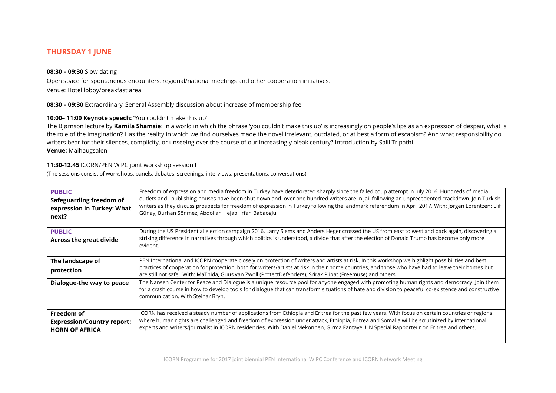# **THURSDAY 1 JUNE**

## **08:30 – 09:30** Slow dating

Open space for spontaneous encounters, regional/national meetings and other cooperation initiatives. Venue: Hotel lobby/breakfast area

**08:30 – 09:30** Extraordinary General Assembly discussion about increase of membership fee

## **10:00– 11:00 Keynote speech: '**You couldn't make this up'

The Bjørnson lecture by **Kamila Shamsie**: In a world in which the phrase 'you couldn't make this up' is increasingly on people's lips as an expression of despair, what is the role of the imagination? Has the reality in which we find ourselves made the novel irrelevant, outdated, or at best a form of escapism? And what responsibility do writers bear for their silences, complicity, or unseeing over the course of our increasingly bleak century? Introduction by Salil Tripathi. **Venue:** Maihaugsalen

## **11:30-12.45** ICORN/PEN WiPC joint workshop session I

(The sessions consist of workshops, panels, debates, screenings, interviews, presentations, conversations)

| <b>PUBLIC</b><br>Safeguarding freedom of<br>expression in Turkey: What<br>next? | Freedom of expression and media freedom in Turkey have deteriorated sharply since the failed coup attempt in July 2016. Hundreds of media<br>outlets and publishing houses have been shut down and over one hundred writers are in jail following an unprecedented crackdown. Join Turkish<br>writers as they discuss prospects for freedom of expression in Turkey following the landmark referendum in April 2017. With: Jørgen Lorentzen: Elif<br>Günay, Burhan Sönmez, Abdollah Hejab, Irfan Babaoglu. |
|---------------------------------------------------------------------------------|------------------------------------------------------------------------------------------------------------------------------------------------------------------------------------------------------------------------------------------------------------------------------------------------------------------------------------------------------------------------------------------------------------------------------------------------------------------------------------------------------------|
| <b>PUBLIC</b><br><b>Across the great divide</b>                                 | During the US Presidential election campaign 2016, Larry Siems and Anders Heger crossed the US from east to west and back again, discovering a<br>striking difference in narratives through which politics is understood, a divide that after the election of Donald Trump has become only more<br>evident.                                                                                                                                                                                                |
| The landscape of<br>protection                                                  | PEN International and ICORN cooperate closely on protection of writers and artists at risk. In this workshop we highlight possibilities and best<br>practices of cooperation for protection, both for writers/artists at risk in their home countries, and those who have had to leave their homes but<br>are still not safe. With: MaThida, Guus van Zwoll (ProtectDefenders), Srirak Plipat (Freemuse) and others                                                                                        |
| Dialogue-the way to peace                                                       | The Nansen Center for Peace and Dialogue is a unique resource pool for anyone engaged with promoting human rights and democracy. Join them<br>for a crash course in how to develop tools for dialogue that can transform situations of hate and division to peaceful co-existence and constructive<br>communication. With Steinar Bryn.                                                                                                                                                                    |
| Freedom of<br><b>Expression/Country report:</b><br><b>HORN OF AFRICA</b>        | ICORN has received a steady number of applications from Ethiopia and Eritrea for the past few years. With focus on certain countries or regions<br>where human rights are challenged and freedom of expression under attack, Ethiopia, Eritrea and Somalia will be scrutinized by international<br>experts and writers/journalist in ICORN residencies. With Daniel Mekonnen, Girma Fantaye, UN Special Rapporteur on Eritrea and others.                                                                  |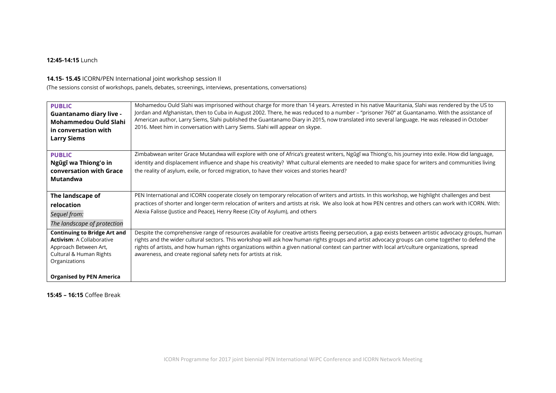## **12:45-14:15** Lunch

## **14.15- 15.45** ICORN/PEN International joint workshop session II

(The sessions consist of workshops, panels, debates, screenings, interviews, presentations, conversations)

| <b>PUBLIC</b><br><b>Guantanamo diary live -</b><br><b>Mohammedou Ould Slahi</b><br>in conversation with<br><b>Larry Siems</b>                                                   | Mohamedou Ould Slahi was imprisoned without charge for more than 14 years. Arrested in his native Mauritania, Slahi was rendered by the US to<br>Jordan and Afghanistan, then to Cuba in August 2002. There, he was reduced to a number - "prisoner 760" at Guantanamo. With the assistance of<br>American author, Larry Siems, Slahi published the Guantanamo Diary in 2015, now translated into several language. He was released in October<br>2016. Meet him in conversation with Larry Siems. Slahi will appear on skype. |
|---------------------------------------------------------------------------------------------------------------------------------------------------------------------------------|--------------------------------------------------------------------------------------------------------------------------------------------------------------------------------------------------------------------------------------------------------------------------------------------------------------------------------------------------------------------------------------------------------------------------------------------------------------------------------------------------------------------------------|
| <b>PUBLIC</b><br>Ngũgĩ wa Thiong'o in<br>conversation with Grace<br>Mutandwa                                                                                                    | Zimbabwean writer Grace Mutandwa will explore with one of Africa's greatest writers, Ngũgĩ wa Thiong'o, his journey into exile. How did language,<br>identity and displacement influence and shape his creativity? What cultural elements are needed to make space for writers and communities living<br>the reality of asylum, exile, or forced migration, to have their voices and stories heard?                                                                                                                            |
| The landscape of<br>relocation<br>Sequel from:<br>The landscape of protection                                                                                                   | PEN International and ICORN cooperate closely on temporary relocation of writers and artists. In this workshop, we highlight challenges and best<br>practices of shorter and longer-term relocation of writers and artists at risk. We also look at how PEN centres and others can work with ICORN. With:<br>Alexia Falisse (Justice and Peace), Henry Reese (City of Asylum), and others                                                                                                                                      |
| <b>Continuing to Bridge Art and</b><br><b>Activism: A Collaborative</b><br>Approach Between Art,<br>Cultural & Human Rights<br>Organizations<br><b>Organised by PEN America</b> | Despite the comprehensive range of resources available for creative artists fleeing persecution, a gap exists between artistic advocacy groups, human<br>rights and the wider cultural sectors. This workshop will ask how human rights groups and artist advocacy groups can come together to defend the<br>rights of artists, and how human rights organizations within a given national context can partner with local art/culture organizations, spread<br>awareness, and create regional safety nets for artists at risk. |

## **15:45 – 16:15** Coffee Break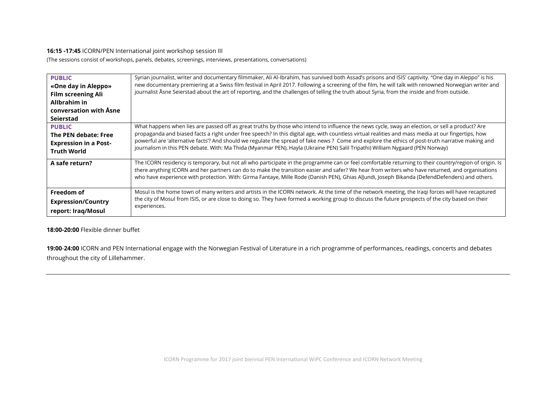## **16:15 -17:45** ICORN/PEN International joint workshop session III

(The sessions consist of workshops, panels, debates, screenings, interviews, presentations, conversations)

| <b>PUBLIC</b><br>«One day in Aleppo»<br><b>Film screening Ali</b><br>Allbrahim in<br>conversation with Åsne<br>Seierstad | Syrian journalist, writer and documentary filmmaker, Ali Al-Ibrahim, has survived both Assad's prisons and ISIS' captivity. "One day in Aleppo" is his<br>new documentary premiering at a Swiss film festival in April 2017. Following a screening of the film, he will talk with renowned Norwegian writer and<br>journalist Åsne Seierstad about the art of reporting, and the challenges of telling the truth about Syria, from the inside and from outside. |
|--------------------------------------------------------------------------------------------------------------------------|-----------------------------------------------------------------------------------------------------------------------------------------------------------------------------------------------------------------------------------------------------------------------------------------------------------------------------------------------------------------------------------------------------------------------------------------------------------------|
| <b>PUBLIC</b>                                                                                                            | What happens when lies are passed off as great truths by those who intend to influence the news cycle, sway an election, or sell a product? Are                                                                                                                                                                                                                                                                                                                 |
| The PEN debate: Free                                                                                                     | propaganda and biased facts a right under free speech? In this digital age, with countless virtual realities and mass media at our fingertips, how                                                                                                                                                                                                                                                                                                              |
| <b>Expression in a Post-</b>                                                                                             | powerful are 'alternative facts'? And should we regulate the spread of fake news ? Come and explore the ethics of post-truth narrative making and                                                                                                                                                                                                                                                                                                               |
| <b>Truth World</b>                                                                                                       | journalism in this PEN debate. With: Ma Thida (Myanmar PEN), Hayla (Ukraine PEN) Salil Tripathi) William Nygaard (PEN Norway)                                                                                                                                                                                                                                                                                                                                   |
| A safe return?                                                                                                           | The ICORN residency is temporary, but not all who participate in the programme can or feel comfortable returning to their country/region of origin. Is<br>there anything ICORN and her partners can do to make the transition easier and safer? We hear from writers who have returned, and organisations<br>who have experience with protection. With: Girma Fantaye, Mille Rode (Danish PEN), Ghias AlJundi, Joseph Bikanda (DefendDefenders) and others.     |
| Freedom of                                                                                                               | Mosul is the home town of many writers and artists in the ICORN network. At the time of the network meeting, the Iraqi forces will have recaptured                                                                                                                                                                                                                                                                                                              |
| <b>Expression/Country</b>                                                                                                | the city of Mosul from ISIS, or are close to doing so. They have formed a working group to discuss the future prospects of the city based on their                                                                                                                                                                                                                                                                                                              |
| report: Iraq/Mosul                                                                                                       | experiences.                                                                                                                                                                                                                                                                                                                                                                                                                                                    |

## **18:00-20:00** Flexible dinner buffet

**19:00**-**24:00** ICORN and PEN International engage with the Norwegian Festival of Literature in a rich programme of performances, readings, concerts and debates throughout the city of Lillehammer.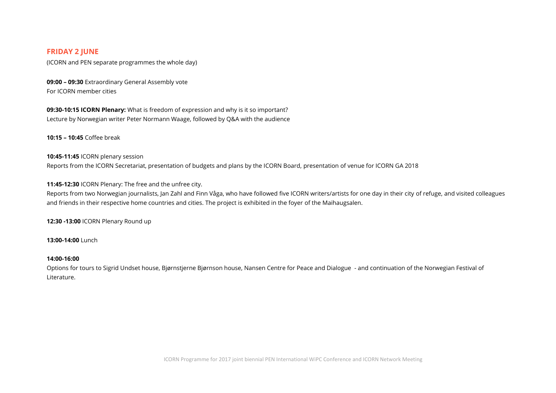## **FRIDAY 2 JUNE**

(ICORN and PEN separate programmes the whole day)

**09:00 – 09:30** Extraordinary General Assembly vote For ICORN member cities

**09:30-10:15 ICORN Plenary:** What is freedom of expression and why is it so important? Lecture by Norwegian writer Peter Normann Waage, followed by Q&A with the audience

**10:15 – 10:45** Coffee break

# **10:45-11:45** ICORN plenary session Reports from the ICORN Secretariat, presentation of budgets and plans by the ICORN Board, presentation of venue for ICORN GA 2018

**11:45-12:30** ICORN Plenary: The free and the unfree city.

Reports from two Norwegian journalists, Jan Zahl and Finn Våga, who have followed five ICORN writers/artists for one day in their city of refuge, and visited colleagues and friends in their respective home countries and cities. The project is exhibited in the foyer of the Maihaugsalen.

**12:30 -13:00** ICORN Plenary Round up

**13:00-14:00** Lunch

#### **14:00-16:00**

Options for tours to Sigrid Undset house, Bjørnstjerne Bjørnson house, Nansen Centre for Peace and Dialogue - and continuation of the Norwegian Festival of Literature.